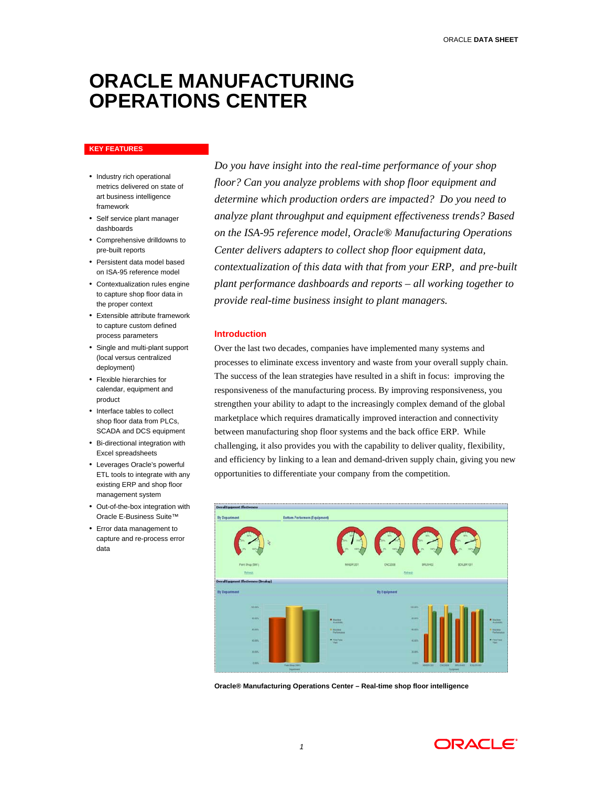# **ORACLE MANUFACTURING OPERATIONS CENTER**

#### **KEY FEATURES**

- Industry rich operational metrics delivered on state of art business intelligence framework
- Self service plant manager dashboards
- Comprehensive drilldowns to pre-built reports
- Persistent data model based on ISA-95 reference model
- Contextualization rules engine to capture shop floor data in the proper context
- Extensible attribute framework to capture custom defined process parameters
- Single and multi-plant support (local versus centralized deployment)
- Flexible hierarchies for calendar, equipment and product
- Interface tables to collect shop floor data from PLCs, SCADA and DCS equipment
- Bi-directional integration with Excel spreadsheets
- Leverages Oracle's powerful ETL tools to integrate with any existing ERP and shop floor management system
- Out-of-the-box integration with Oracle E-Business Suite™
- Error data management to capture and re-process error data

*Do you have insight into the real-time performance of your shop floor? Can you analyze problems with shop floor equipment and determine which production orders are impacted? Do you need to analyze plant throughput and equipment effectiveness trends? Based on the ISA-95 reference model, Oracle® Manufacturing Operations Center delivers adapters to collect shop floor equipment data, contextualization of this data with that from your ERP, and pre-built plant performance dashboards and reports – all working together to provide real-time business insight to plant managers.* 

# **Introduction**

Over the last two decades, companies have implemented many systems and processes to eliminate excess inventory and waste from your overall supply chain. The success of the lean strategies have resulted in a shift in focus: improving the responsiveness of the manufacturing process. By improving responsiveness, you strengthen your ability to adapt to the increasingly complex demand of the global marketplace which requires dramatically improved interaction and connectivity between manufacturing shop floor systems and the back office ERP. While challenging, it also provides you with the capability to deliver quality, flexibility, and efficiency by linking to a lean and demand-driven supply chain, giving you new opportunities to differentiate your company from the competition.



**Oracle® Manufacturing Operations Center – Real-time shop floor intelligence** 

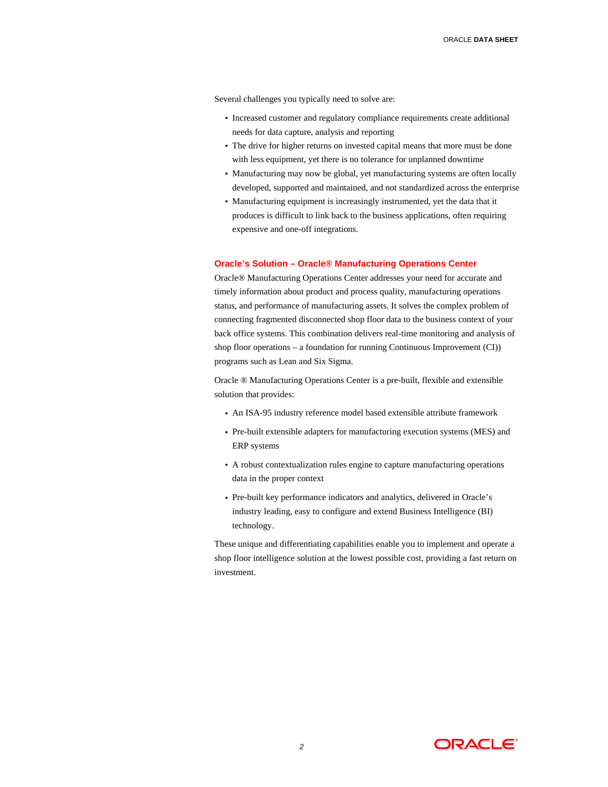Several challenges you typically need to solve are:

- Increased customer and regulatory compliance requirements create additional needs for data capture, analysis and reporting
- The drive for higher returns on invested capital means that more must be done with less equipment, yet there is no tolerance for unplanned downtime
- Manufacturing may now be global, yet manufacturing systems are often locally developed, supported and maintained, and not standardized across the enterprise
- Manufacturing equipment is increasingly instrumented, yet the data that it produces is difficult to link back to the business applications, often requiring expensive and one-off integrations.

### **Oracle's Solution – Oracle® Manufacturing Operations Center**

Oracle® Manufacturing Operations Center addresses your need for accurate and timely information about product and process quality, manufacturing operations status, and performance of manufacturing assets. It solves the complex problem of connecting fragmented disconnected shop floor data to the business context of your back office systems. This combination delivers real-time monitoring and analysis of shop floor operations – a foundation for running Continuous Improvement (CI)) programs such as Lean and Six Sigma.

Oracle ® Manufacturing Operations Center is a pre-built, flexible and extensible solution that provides:

- An ISA-95 industry reference model based extensible attribute framework
- Pre-built extensible adapters for manufacturing execution systems (MES) and ERP systems
- A robust contextualization rules engine to capture manufacturing operations data in the proper context
- Pre-built key performance indicators and analytics, delivered in Oracle's industry leading, easy to configure and extend Business Intelligence (BI) technology.

These unique and differentiating capabilities enable you to implement and operate a shop floor intelligence solution at the lowest possible cost, providing a fast return on investment.

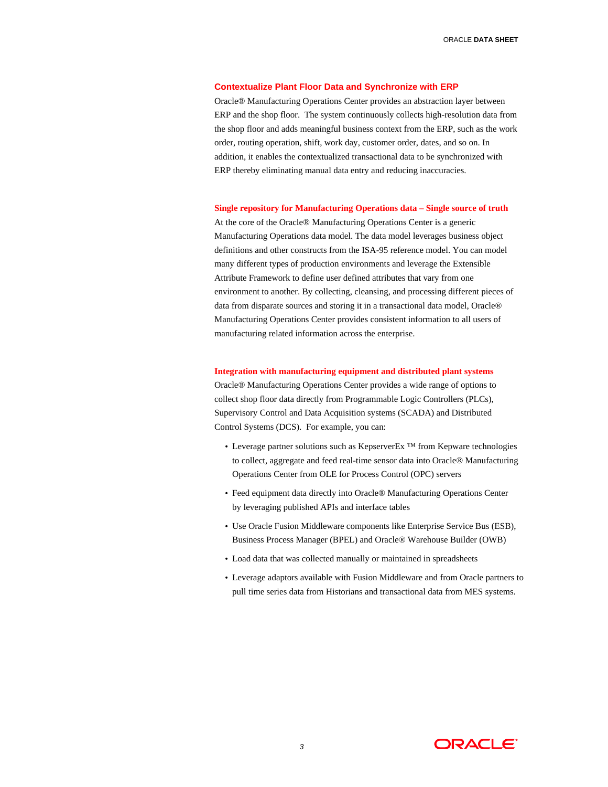# **Contextualize Plant Floor Data and Synchronize with ERP**

Oracle® Manufacturing Operations Center provides an abstraction layer between ERP and the shop floor. The system continuously collects high-resolution data from the shop floor and adds meaningful business context from the ERP, such as the work order, routing operation, shift, work day, customer order, dates, and so on. In addition, it enables the contextualized transactional data to be synchronized with ERP thereby eliminating manual data entry and reducing inaccuracies.

**Single repository for Manufacturing Operations data – Single source of truth** 

At the core of the Oracle® Manufacturing Operations Center is a generic Manufacturing Operations data model. The data model leverages business object definitions and other constructs from the ISA-95 reference model. You can model many different types of production environments and leverage the Extensible Attribute Framework to define user defined attributes that vary from one environment to another. By collecting, cleansing, and processing different pieces of data from disparate sources and storing it in a transactional data model, Oracle® Manufacturing Operations Center provides consistent information to all users of manufacturing related information across the enterprise.

# **Integration with manufacturing equipment and distributed plant systems**

Oracle® Manufacturing Operations Center provides a wide range of options to collect shop floor data directly from Programmable Logic Controllers (PLCs), Supervisory Control and Data Acquisition systems (SCADA) and Distributed Control Systems (DCS). For example, you can:

- Leverage partner solutions such as KepserverEx<sup>TM</sup> from Kepware technologies to collect, aggregate and feed real-time sensor data into Oracle® Manufacturing Operations Center from OLE for Process Control (OPC) servers
- Feed equipment data directly into Oracle® Manufacturing Operations Center by leveraging published APIs and interface tables
- Use Oracle Fusion Middleware components like Enterprise Service Bus (ESB), Business Process Manager (BPEL) and Oracle® Warehouse Builder (OWB)
- Load data that was collected manually or maintained in spreadsheets
- Leverage adaptors available with Fusion Middleware and from Oracle partners to pull time series data from Historians and transactional data from MES systems.

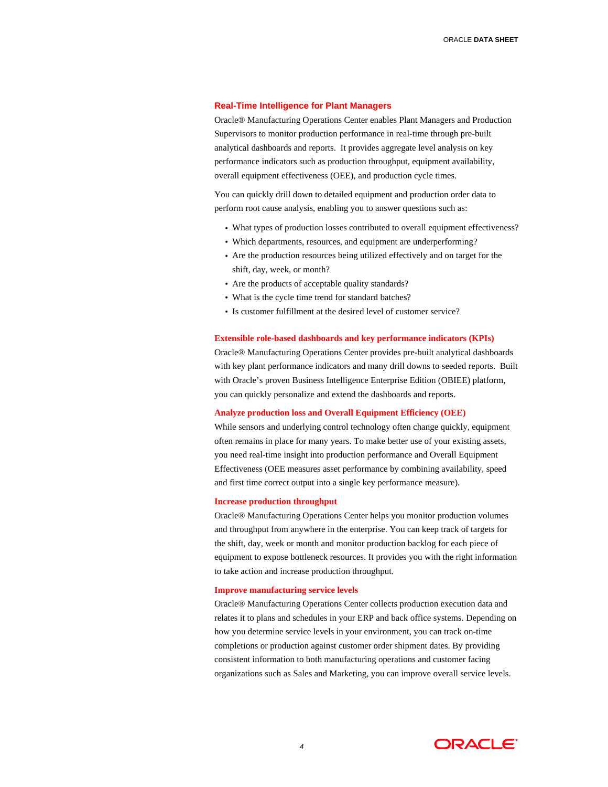#### **Real-Time Intelligence for Plant Managers**

Oracle® Manufacturing Operations Center enables Plant Managers and Production Supervisors to monitor production performance in real-time through pre-built analytical dashboards and reports. It provides aggregate level analysis on key performance indicators such as production throughput, equipment availability, overall equipment effectiveness (OEE), and production cycle times.

You can quickly drill down to detailed equipment and production order data to perform root cause analysis, enabling you to answer questions such as:

- What types of production losses contributed to overall equipment effectiveness?
- Which departments, resources, and equipment are underperforming?
- Are the production resources being utilized effectively and on target for the shift, day, week, or month?
- Are the products of acceptable quality standards?
- What is the cycle time trend for standard batches?
- Is customer fulfillment at the desired level of customer service?

# **Extensible role-based dashboards and key performance indicators (KPIs)**

Oracle® Manufacturing Operations Center provides pre-built analytical dashboards with key plant performance indicators and many drill downs to seeded reports. Built with Oracle's proven Business Intelligence Enterprise Edition (OBIEE) platform, you can quickly personalize and extend the dashboards and reports.

# **Analyze production loss and Overall Equipment Efficiency (OEE)**

While sensors and underlying control technology often change quickly, equipment often remains in place for many years. To make better use of your existing assets, you need real-time insight into production performance and Overall Equipment Effectiveness (OEE measures asset performance by combining availability, speed and first time correct output into a single key performance measure).

### **Increase production throughput**

Oracle® Manufacturing Operations Center helps you monitor production volumes and throughput from anywhere in the enterprise. You can keep track of targets for the shift, day, week or month and monitor production backlog for each piece of equipment to expose bottleneck resources. It provides you with the right information to take action and increase production throughput.

### **Improve manufacturing service levels**

Oracle® Manufacturing Operations Center collects production execution data and relates it to plans and schedules in your ERP and back office systems. Depending on how you determine service levels in your environment, you can track on-time completions or production against customer order shipment dates. By providing consistent information to both manufacturing operations and customer facing organizations such as Sales and Marketing, you can improve overall service levels.